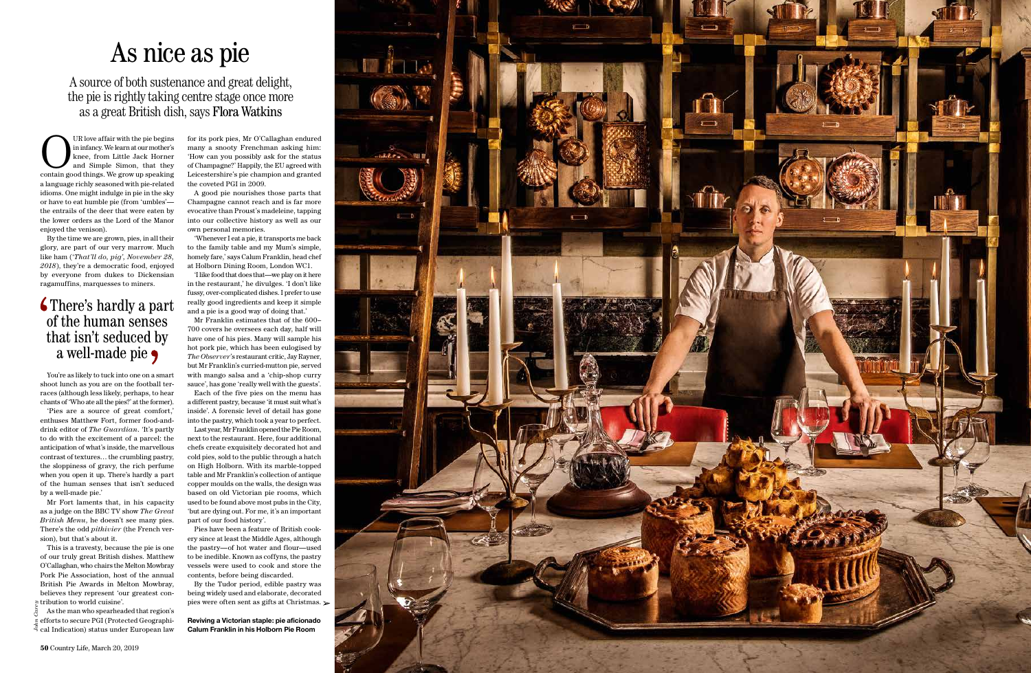# As nice as pie

UR love affair with the pie begins<br>
in infancy. We learn at our mother's<br>
knee, from Little Jack Horner<br>
and Simple Simon, that they<br>
contain good things. We grow up speaking in infancy. We learn at our mother's knee, from Little Jack Horner and Simple Simon, that they a language richly seasoned with pie-related idioms. One might indulge in pie in the sky or have to eat humble pie (from 'umbles' the entrails of the deer that were eaten by the lower orders as the Lord of the Manor enjoyed the venison).

By the time we are grown, pies, in all their glory, are part of our very marrow. Much like ham (*'That'll do, pig', November 28, 2018*), they're a democratic food, enjoyed by everyone from dukes to Dickensian ragamuffins, marquesses to miners.

You're as likely to tuck into one on a smart shoot lunch as you are on the football terraces (although less likely, perhaps, to hear chants of 'Who ate all the pies?' at the former).

efforts to secure PGI (Protected Geographi- $\frac{1}{2}$  cal Indication) status under European law

*John Carey* As the man who spearheaded that region's

## **C**There's hardly a part of the human senses that isn't seduced by a well-made pie

'Pies are a source of great comfort,' enthuses Matthew Fort, former food-anddrink editor of *The Guardian*. 'It's partly to do with the excitement of a parcel: the anticipation of what's inside, the marvellous contrast of textures… the crumbling pastry, the sloppiness of gravy, the rich perfume when you open it up. There's hardly a part of the human senses that isn't seduced by a well-made pie.'

Mr Fort laments that, in his capacity as a judge on the BBC TV show *The Great British Menu*, he doesn't see many pies. There's the odd *pithivier* (the French version), but that's about it.

This is a travesty, because the pie is one of our truly great British dishes. Matthew O'Callaghan, who chairs the Melton Mowbray Pork Pie Association, host of the annual British Pie Awards in Melton Mowbray, believes they represent 'our greatest contribution to world cuisine'.

A source of both sustenance and great delight, the pie is rightly taking centre stage once more as a great British dish, says Flora Watkins

> for its pork pies, Mr O'Callaghan endured many a snooty Frenchman asking him: 'How can you possibly ask for the status of Champagne?' Happily, the EU agreed with Leicestershire's pie champion and granted the coveted PGI in 2009.

> A good pie nourishes those parts that Champagne cannot reach and is far more evocative than Proust's madeleine, tapping into our collective history as well as our own personal memories.

> 'Whenever I eat a pie, it transports me back to the family table and my Mum's simple, homely fare,' says Calum Franklin, head chef at Holborn Dining Room, London WC1.

> 'I like food that does that—we play on it here in the restaurant,' he divulges. 'I don't like fussy, over-complicated dishes. I prefer to use really good ingredients and keep it simple and a pie is a good way of doing that.'

> Mr Franklin estimates that of the 600– 700 covers he oversees each day, half will have one of his pies. Many will sample his hot pork pie, which has been eulogised by *The Observer*'s restaurant critic, Jay Rayner, but Mr Franklin's curried-mutton pie, served with mango salsa and a 'chip-shop curry sauce', has gone 'really well with the guests'. Each of the five pies on the menu has

> a different pastry, because 'it must suit what's inside'. A forensic level of detail has gone into the pastry, which took a year to perfect.

> Last year, Mr Franklin opened the Pie Room, next to the restaurant. Here, four additional chefs create exquisitely decorated hot and cold pies, sold to the public through a hatch on High Holborn. With its marble-topped table and Mr Franklin's collection of antique copper moulds on the walls, the design was based on old Victorian pie rooms, which used to be found above most pubs in the City, 'but are dying out. For me, it's an important part of our food history'.

> Pies have been a feature of British cookery since at least the Middle Ages, although the pastry—of hot water and flour—used to be inedible. Known as coffyns, the pastry vessels were used to cook and store the contents, before being discarded.

By the Tudor period, edible pastry was being widely used and elaborate, decorated pies were often sent as gifts at Christmas.

**Reviving a Victorian staple: pie aficionado Calum Franklin in his Holborn Pie Room**